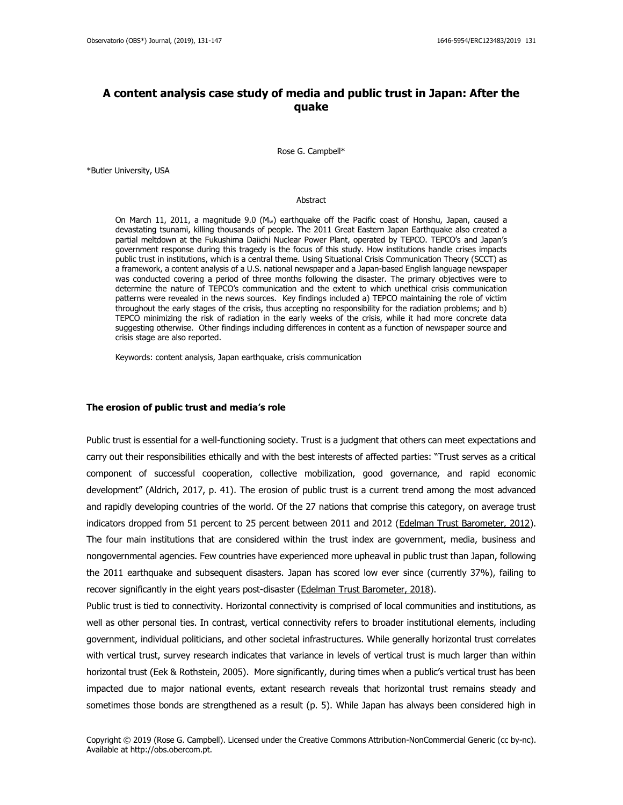# **A content analysis case study of media and public trust in Japan: After the quake**

Rose G. Campbell\*

\*Butler University, USA

#### Abstract

On March 11, 2011, a magnitude 9.0 ( $M_w$ ) earthquake off the Pacific coast of Honshu, Japan, caused a devastating tsunami, killing thousands of people. The 2011 Great Eastern Japan Earthquake also created a partial meltdown at the Fukushima Daiichi Nuclear Power Plant, operated by TEPCO. TEPCO's and Japan's government response during this tragedy is the focus of this study. How institutions handle crises impacts public trust in institutions, which is a central theme. Using Situational Crisis Communication Theory (SCCT) as a framework, a content analysis of a U.S. national newspaper and a Japan-based English language newspaper was conducted covering a period of three months following the disaster. The primary objectives were to determine the nature of TEPCO's communication and the extent to which unethical crisis communication patterns were revealed in the news sources. Key findings included a) TEPCO maintaining the role of victim throughout the early stages of the crisis, thus accepting no responsibility for the radiation problems; and b) TEPCO minimizing the risk of radiation in the early weeks of the crisis, while it had more concrete data suggesting otherwise. Other findings including differences in content as a function of newspaper source and crisis stage are also reported.

Keywords: content analysis, Japan earthquake, crisis communication

## **The erosion of public trust and media's role**

Public trust is essential for a well-functioning society. Trust is a judgment that others can meet expectations and carry out their responsibilities ethically and with the best interests of affected parties: "Trust serves as a critical component of successful cooperation, collective mobilization, good governance, and rapid economic development" (Aldrich, 2017, p. 41). The erosion of public trust is a current trend among the most advanced and rapidly developing countries of the world. Of the 27 nations that comprise this category, on average trust indicators dropped from 51 percent to 25 percent between 2011 and 2012 [\(Edelman Trust Barometer, 2012\)](https://www.slideshare.net/EdelmanInsights/2012-edelman-trust-barometer-global-deck). The four main institutions that are considered within the trust index are government, media, business and nongovernmental agencies. Few countries have experienced more upheaval in public trust than Japan, following the 2011 earthquake and subsequent disasters. Japan has scored low ever since (currently 37%), failing to recover significantly in the eight years post-disaster (Edelman [Trust Barometer, 2018\)](https://www.edelman.com/sites/g/files/aatuss191/files/2018-10/2018_Edelman_Trust_Barometer_Global_Report_FEB.pdf).

Public trust is tied to connectivity. Horizontal connectivity is comprised of local communities and institutions, as well as other personal ties. In contrast, vertical connectivity refers to broader institutional elements, including government, individual politicians, and other societal infrastructures. While generally horizontal trust correlates with vertical trust, survey research indicates that variance in levels of vertical trust is much larger than within horizontal trust (Eek & Rothstein, 2005). More significantly, during times when a public's vertical trust has been impacted due to major national events, extant research reveals that horizontal trust remains steady and sometimes those bonds are strengthened as a result (p. 5). While Japan has always been considered high in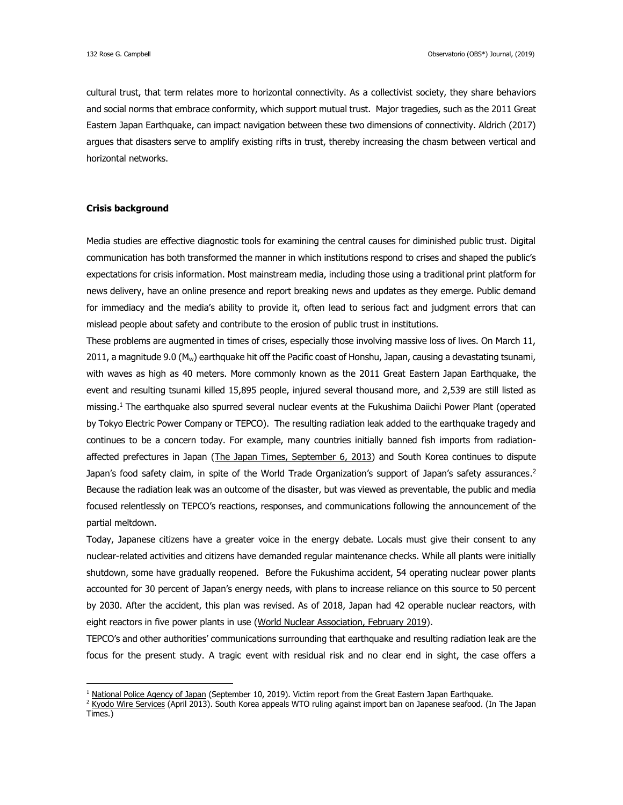cultural trust, that term relates more to horizontal connectivity. As a collectivist society, they share behaviors and social norms that embrace conformity, which support mutual trust. Major tragedies, such as the 2011 Great Eastern Japan Earthquake, can impact navigation between these two dimensions of connectivity. Aldrich (2017) argues that disasters serve to amplify existing rifts in trust, thereby increasing the chasm between vertical and horizontal networks.

## **Crisis background**

 $\overline{a}$ 

Media studies are effective diagnostic tools for examining the central causes for diminished public trust. Digital communication has both transformed the manner in which institutions respond to crises and shaped the public's expectations for crisis information. Most mainstream media, including those using a traditional print platform for news delivery, have an online presence and report breaking news and updates as they emerge. Public demand for immediacy and the media's ability to provide it, often lead to serious fact and judgment errors that can mislead people about safety and contribute to the erosion of public trust in institutions.

These problems are augmented in times of crises, especially those involving massive loss of lives. On March 11, 2011, a magnitude 9.0 (M<sub>w</sub>) earthquake hit off the Pacific coast of Honshu, Japan, causing a devastating tsunami, with waves as high as 40 meters. More commonly known as the 2011 Great Eastern Japan Earthquake, the event and resulting tsunami killed 15,895 people, injured several thousand more, and 2,539 are still listed as missing. <sup>1</sup> The earthquake also spurred several nuclear events at the Fukushima Daiichi Power Plant (operated by Tokyo Electric Power Company or TEPCO). The resulting radiation leak added to the earthquake tragedy and continues to be a concern today. For example, many countries initially banned fish imports from radiation-affected prefectures in Japan (The [Japan Times, September 6, 2013\)](https://www.japantimes.co.jp/news/2013/09/06/national/south-korea-bans-fishery-imports-from-eight-prefectures-on-radiation-fears/#.XIBl39FS_0E) and South Korea continues to dispute Japan's food safety claim, in spite of the World Trade Organization's support of Japan's safety assurances. 2 Because the radiation leak was an outcome of the disaster, but was viewed as preventable, the public and media focused relentlessly on TEPCO's reactions, responses, and communications following the announcement of the partial meltdown.

Today, Japanese citizens have a greater voice in the energy debate. Locals must give their consent to any nuclear-related activities and citizens have demanded regular maintenance checks. While all plants were initially shutdown, some have gradually reopened. Before the Fukushima accident, 54 operating nuclear power plants accounted for 30 percent of Japan's energy needs, with plans to increase reliance on this source to 50 percent by 2030. After the accident, this plan was revised. As of 2018, Japan had 42 operable nuclear reactors, with eight reactors in five power plants in use [\(World Nuclear Association, February 2019\)](http://www.world-nuclear.org/information-library/country-profiles/countries-g-n/japan-nuclear-power.aspx).

TEPCO's and other authorities' communications surrounding that earthquake and resulting radiation leak are the focus for the present study. A tragic event with residual risk and no clear end in sight, the case offers a

<sup>&</sup>lt;sup>1</sup> [National Police Agency of Japan](https://www.npa.go.jp/news/other/earthquake2011/pdf/higaijokyo_e.pdf) (September 10, 2019). Victim report from the Great Eastern Japan Earthquake.

<sup>&</sup>lt;sup>2</sup> [Kyodo Wire Services](https://www.japantimes.co.jp/news/2018/04/10/national/south-korea-appeals-wto-ruling-import-ban-japanese-seafood/#.Xee0ASV7k0R) (April 2013). South Korea appeals WTO ruling against import ban on Japanese seafood. (In The Japan Times.)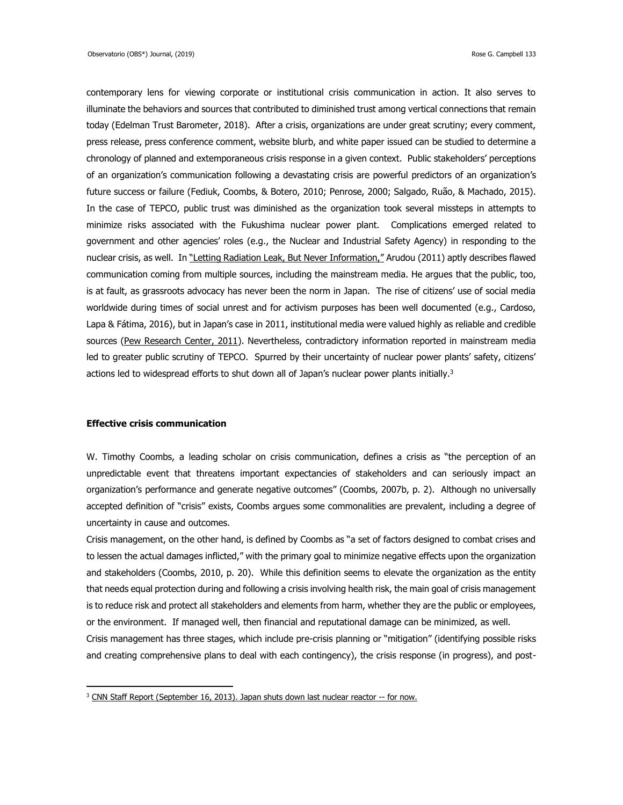contemporary lens for viewing corporate or institutional crisis communication in action. It also serves to illuminate the behaviors and sources that contributed to diminished trust among vertical connections that remain today (Edelman Trust Barometer, 2018). After a crisis, organizations are under great scrutiny; every comment, press release, press conference comment, website blurb, and white paper issued can be studied to determine a chronology of planned and extemporaneous crisis response in a given context. Public stakeholders' perceptions of an organization's communication following a devastating crisis are powerful predictors of an organization's future success or failure (Fediuk, Coombs, & Botero, 2010; Penrose, 2000; Salgado, Ruão, & Machado, 2015). In the case of TEPCO, public trust was diminished as the organization took several missteps in attempts to minimize risks associated with the Fukushima nuclear power plant. Complications emerged related to government and other agencies' roles (e.g., the Nuclear and Industrial Safety Agency) in responding to the nuclear crisis, as well. In ["Letting Radiation Leak, But Never Information,"](https://www.japantimes.co.jp/community/2011/04/05/issues/letting-radiation-leak-but-never-information/#.XIBuHdFS_v0) Arudou (2011) aptly describes flawed communication coming from multiple sources, including the mainstream media. He argues that the public, too, is at fault, as grassroots advocacy has never been the norm in Japan. The rise of citizens' use of social media worldwide during times of social unrest and for activism purposes has been well documented (e.g., Cardoso, Lapa & Fátima, 2016), but in Japan's case in 2011, institutional media were valued highly as reliable and credible sources [\(Pew Research Center, 2011\)](https://www.people-press.org/2011/03/22/most-are-attentive-to-news-about-disaster-in-japan/). Nevertheless, contradictory information reported in mainstream media led to greater public scrutiny of TEPCO. Spurred by their uncertainty of nuclear power plants' safety, citizens' actions led to widespread efforts to shut down all of Japan's nuclear power plants initially. $3$ 

### **Effective crisis communication**

 $\overline{a}$ 

W. Timothy Coombs, a leading scholar on crisis communication, defines a crisis as "the perception of an unpredictable event that threatens important expectancies of stakeholders and can seriously impact an organization's performance and generate negative outcomes" (Coombs, 2007b, p. 2). Although no universally accepted definition of "crisis" exists, Coombs argues some commonalities are prevalent, including a degree of uncertainty in cause and outcomes.

Crisis management, on the other hand, is defined by Coombs as "a set of factors designed to combat crises and to lessen the actual damages inflicted," with the primary goal to minimize negative effects upon the organization and stakeholders (Coombs, 2010, p. 20). While this definition seems to elevate the organization as the entity that needs equal protection during and following a crisis involving health risk, the main goal of crisis management is to reduce risk and protect all stakeholders and elements from harm, whether they are the public or employees, or the environment. If managed well, then financial and reputational damage can be minimized, as well.

Crisis management has three stages, which include pre-crisis planning or "mitigation" (identifying possible risks and creating comprehensive plans to deal with each contingency), the crisis response (in progress), and post-

<sup>&</sup>lt;sup>3</sup> [CNN Staff Report \(September 16, 2013\). Japan shuts down last nuclear reactor --](https://edition.cnn.com/2013/09/15/world/asia/japan-nuclear-reactor-shutdown/index.html) for now.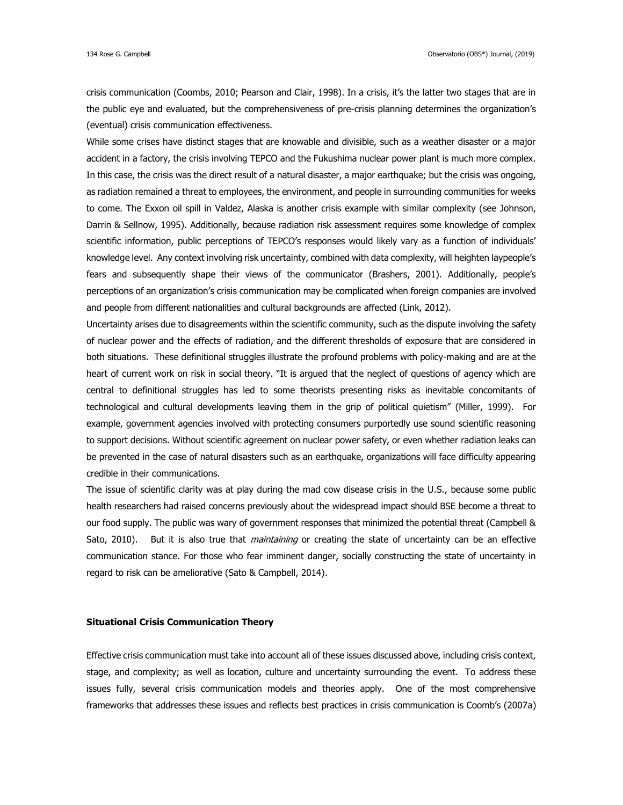crisis communication (Coombs, 2010; Pearson and Clair, 1998). In a crisis, it's the latter two stages that are in the public eye and evaluated, but the comprehensiveness of pre-crisis planning determines the organization's (eventual) crisis communication effectiveness.

While some crises have distinct stages that are knowable and divisible, such as a weather disaster or a major accident in a factory, the crisis involving TEPCO and the Fukushima nuclear power plant is much more complex. In this case, the crisis was the direct result of a natural disaster, a major earthquake; but the crisis was ongoing, as radiation remained a threat to employees, the environment, and people in surrounding communities for weeks to come. The Exxon oil spill in Valdez, Alaska is another crisis example with similar complexity (see Johnson, Darrin & Sellnow, 1995). Additionally, because radiation risk assessment requires some knowledge of complex scientific information, public perceptions of TEPCO's responses would likely vary as a function of individuals' knowledge level. Any context involving risk uncertainty, combined with data complexity, will heighten laypeople's fears and subsequently shape their views of the communicator (Brashers, 2001). Additionally, people's perceptions of an organization's crisis communication may be complicated when foreign companies are involved and people from different nationalities and cultural backgrounds are affected (Link, 2012).

Uncertainty arises due to disagreements within the scientific community, such as the dispute involving the safety of nuclear power and the effects of radiation, and the different thresholds of exposure that are considered in both situations. These definitional struggles illustrate the profound problems with policy-making and are at the heart of current work on risk in social theory. "It is argued that the neglect of questions of agency which are central to definitional struggles has led to some theorists presenting risks as inevitable concomitants of technological and cultural developments leaving them in the grip of political quietism" (Miller, 1999). For example, government agencies involved with protecting consumers purportedly use sound scientific reasoning to support decisions. Without scientific agreement on nuclear power safety, or even whether radiation leaks can be prevented in the case of natural disasters such as an earthquake, organizations will face difficulty appearing credible in their communications.

The issue of scientific clarity was at play during the mad cow disease crisis in the U.S., because some public health researchers had raised concerns previously about the widespread impact should BSE become a threat to our food supply. The public was wary of government responses that minimized the potential threat (Campbell & Sato, 2010). But it is also true that *maintaining* or creating the state of uncertainty can be an effective communication stance. For those who fear imminent danger, socially constructing the state of uncertainty in regard to risk can be ameliorative (Sato & Campbell, 2014).

## **Situational Crisis Communication Theory**

Effective crisis communication must take into account all of these issues discussed above, including crisis context, stage, and complexity; as well as location, culture and uncertainty surrounding the event. To address these issues fully, several crisis communication models and theories apply. One of the most comprehensive frameworks that addresses these issues and reflects best practices in crisis communication is Coomb's (2007a)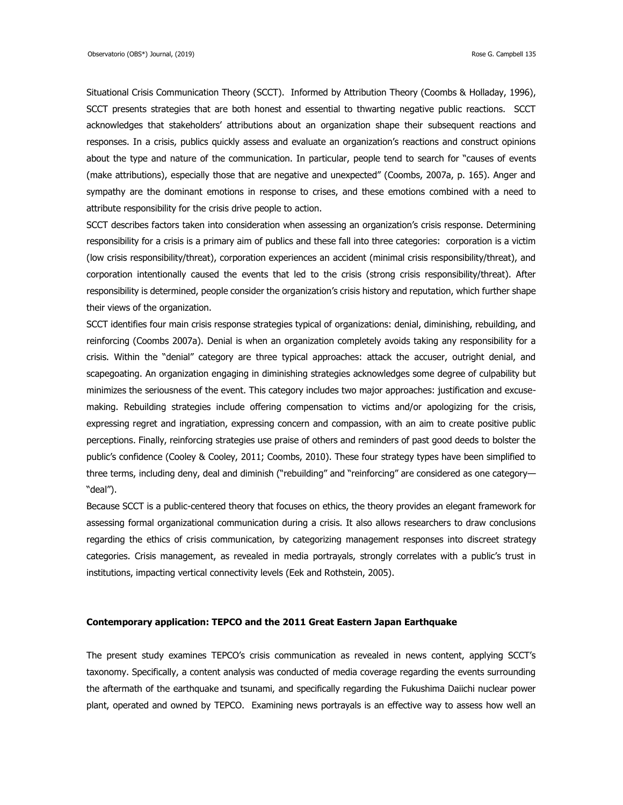Situational Crisis Communication Theory (SCCT). Informed by Attribution Theory (Coombs & Holladay, 1996), SCCT presents strategies that are both honest and essential to thwarting negative public reactions. SCCT acknowledges that stakeholders' attributions about an organization shape their subsequent reactions and responses. In a crisis, publics quickly assess and evaluate an organization's reactions and construct opinions about the type and nature of the communication. In particular, people tend to search for "causes of events (make attributions), especially those that are negative and unexpected" (Coombs, 2007a, p. 165). Anger and sympathy are the dominant emotions in response to crises, and these emotions combined with a need to attribute responsibility for the crisis drive people to action.

SCCT describes factors taken into consideration when assessing an organization's crisis response. Determining responsibility for a crisis is a primary aim of publics and these fall into three categories: corporation is a victim (low crisis responsibility/threat), corporation experiences an accident (minimal crisis responsibility/threat), and corporation intentionally caused the events that led to the crisis (strong crisis responsibility/threat). After responsibility is determined, people consider the organization's crisis history and reputation, which further shape their views of the organization.

SCCT identifies four main crisis response strategies typical of organizations: denial, diminishing, rebuilding, and reinforcing (Coombs 2007a). Denial is when an organization completely avoids taking any responsibility for a crisis. Within the "denial" category are three typical approaches: attack the accuser, outright denial, and scapegoating. An organization engaging in diminishing strategies acknowledges some degree of culpability but minimizes the seriousness of the event. This category includes two major approaches: justification and excusemaking. Rebuilding strategies include offering compensation to victims and/or apologizing for the crisis, expressing regret and ingratiation, expressing concern and compassion, with an aim to create positive public perceptions. Finally, reinforcing strategies use praise of others and reminders of past good deeds to bolster the public's confidence (Cooley & Cooley, 2011; Coombs, 2010). These four strategy types have been simplified to three terms, including deny, deal and diminish ("rebuilding" and "reinforcing" are considered as one category— "deal").

Because SCCT is a public-centered theory that focuses on ethics, the theory provides an elegant framework for assessing formal organizational communication during a crisis. It also allows researchers to draw conclusions regarding the ethics of crisis communication, by categorizing management responses into discreet strategy categories. Crisis management, as revealed in media portrayals, strongly correlates with a public's trust in institutions, impacting vertical connectivity levels (Eek and Rothstein, 2005).

## **Contemporary application: TEPCO and the 2011 Great Eastern Japan Earthquake**

The present study examines TEPCO's crisis communication as revealed in news content, applying SCCT's taxonomy. Specifically, a content analysis was conducted of media coverage regarding the events surrounding the aftermath of the earthquake and tsunami, and specifically regarding the Fukushima Daiichi nuclear power plant, operated and owned by TEPCO. Examining news portrayals is an effective way to assess how well an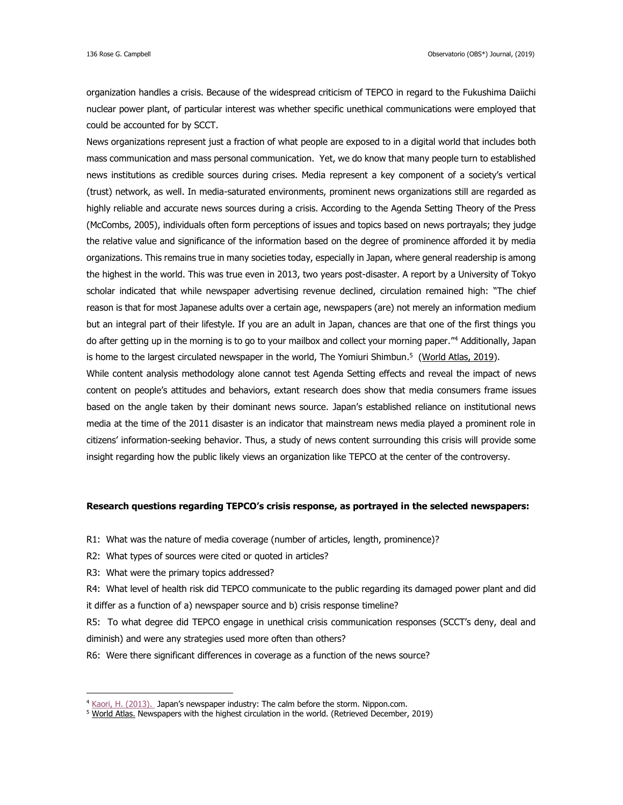organization handles a crisis. Because of the widespread criticism of TEPCO in regard to the Fukushima Daiichi nuclear power plant, of particular interest was whether specific unethical communications were employed that could be accounted for by SCCT.

News organizations represent just a fraction of what people are exposed to in a digital world that includes both mass communication and mass personal communication. Yet, we do know that many people turn to established news institutions as credible sources during crises. Media represent a key component of a society's vertical (trust) network, as well. In media-saturated environments, prominent news organizations still are regarded as highly reliable and accurate news sources during a crisis. According to the Agenda Setting Theory of the Press (McCombs, 2005), individuals often form perceptions of issues and topics based on news portrayals; they judge the relative value and significance of the information based on the degree of prominence afforded it by media organizations. This remains true in many societies today, especially in Japan, where general readership is among the highest in the world. This was true even in 2013, two years post-disaster. A report by a University of Tokyo scholar indicated that while newspaper advertising revenue declined, circulation remained high: "The chief reason is that for most Japanese adults over a certain age, newspapers (are) not merely an information medium but an integral part of their lifestyle. If you are an adult in Japan, chances are that one of the first things you do after getting up in the morning is to go to your mailbox and collect your morning paper." <sup>4</sup> Additionally, Japan is home to the largest circulated newspaper in the world, The Yomiuri Shimbun.<sup>5</sup> [\(World Atlas, 2019\)](https://www.worldatlas.com/articles/newspapers-with-the-highest-circulation-in-the-world.html).

While content analysis methodology alone cannot test Agenda Setting effects and reveal the impact of news content on people's attitudes and behaviors, extant research does show that media consumers frame issues based on the angle taken by their dominant news source. Japan's established reliance on institutional news media at the time of the 2011 disaster is an indicator that mainstream news media played a prominent role in citizens' information-seeking behavior. Thus, a study of news content surrounding this crisis will provide some insight regarding how the public likely views an organization like TEPCO at the center of the controversy.

## **Research questions regarding TEPCO's crisis response, as portrayed in the selected newspapers:**

R1: What was the nature of media coverage (number of articles, length, prominence)?

- R2: What types of sources were cited or quoted in articles?
- R3: What were the primary topics addressed?

 $\overline{a}$ 

R4: What level of health risk did TEPCO communicate to the public regarding its damaged power plant and did it differ as a function of a) newspaper source and b) crisis response timeline?

R5: To what degree did TEPCO engage in unethical crisis communication responses (SCCT's deny, deal and diminish) and were any strategies used more often than others?

R6: Were there significant differences in coverage as a function of the news source?

 $4$  [Kaori, H. \(2013\).](https://www.nippon.com/en/currents/d00097/japan%E2%80%99s-newspaper-industry-calm-before-the-storm.html) Japan's newspaper industry: The calm before the storm. Nippon.com.

<sup>5</sup> [World Atlas.](https://www.worldatlas.com/articles/newspapers-with-the-highest-circulation-in-the-world.html%20%20World%20Nuclear%20Association%20(February,%202019).%20Nuclear%20Power%20in%20Japan.%20http:/www.world-nuclear.org/information-library/country-profiles/countries-g-n/japan-nuclear-power.aspx) Newspapers with the highest circulation in the world. (Retrieved December, 2019)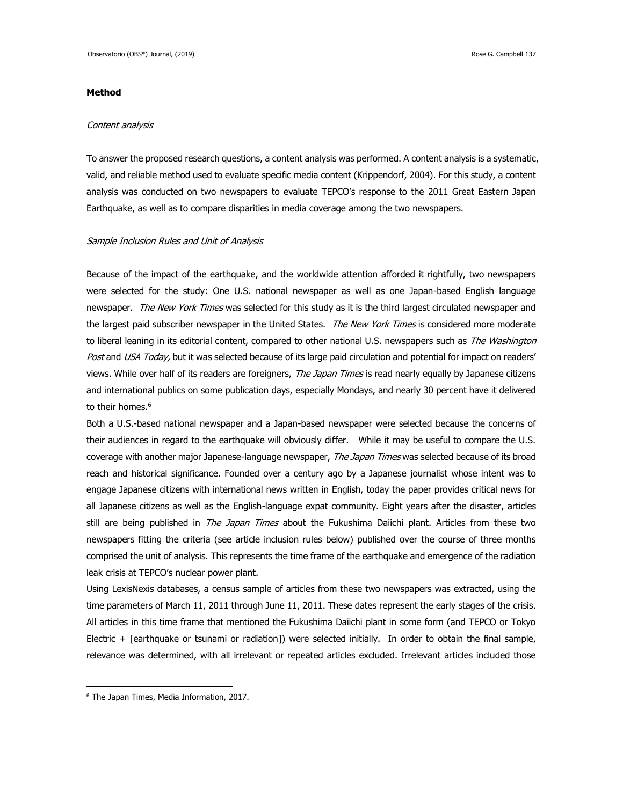## **Method**

#### Content analysis

To answer the proposed research questions, a content analysis was performed. A content analysis is a systematic, valid, and reliable method used to evaluate specific media content (Krippendorf, 2004). For this study, a content analysis was conducted on two newspapers to evaluate TEPCO's response to the 2011 Great Eastern Japan Earthquake, as well as to compare disparities in media coverage among the two newspapers.

### Sample Inclusion Rules and Unit of Analysis

Because of the impact of the earthquake, and the worldwide attention afforded it rightfully, two newspapers were selected for the study: One U.S. national newspaper as well as one Japan-based English language newspaper. The New York Times was selected for this study as it is the third largest circulated newspaper and the largest paid subscriber newspaper in the United States. The New York Times is considered more moderate to liberal leaning in its editorial content, compared to other national U.S. newspapers such as The Washington Post and USA Today, but it was selected because of its large paid circulation and potential for impact on readers' views. While over half of its readers are foreigners, The Japan Times is read nearly equally by Japanese citizens and international publics on some publication days, especially Mondays, and nearly 30 percent have it delivered to their homes. 6

Both a U.S.-based national newspaper and a Japan-based newspaper were selected because the concerns of their audiences in regard to the earthquake will obviously differ. While it may be useful to compare the U.S. coverage with another major Japanese-language newspaper, The Japan Times was selected because of its broad reach and historical significance. Founded over a century ago by a Japanese journalist whose intent was to engage Japanese citizens with international news written in English, today the paper provides critical news for all Japanese citizens as well as the English-language expat community. Eight years after the disaster, articles still are being published in The Japan Times about the Fukushima Daiichi plant. Articles from these two newspapers fitting the criteria (see article inclusion rules below) published over the course of three months comprised the unit of analysis. This represents the time frame of the earthquake and emergence of the radiation leak crisis at TEPCO's nuclear power plant.

Using LexisNexis databases, a census sample of articles from these two newspapers was extracted, using the time parameters of March 11, 2011 through June 11, 2011. These dates represent the early stages of the crisis. All articles in this time frame that mentioned the Fukushima Daiichi plant in some form (and TEPCO or Tokyo Electric + [earthquake or tsunami or radiation]) were selected initially. In order to obtain the final sample, relevance was determined, with all irrelevant or repeated articles excluded. Irrelevant articles included those

 $\overline{a}$ 

<sup>&</sup>lt;sup>6</sup> [The Japan Times, Media Information,](https://cdn.japantimes.2xx.jp/wp-content/uploads/2017/08/jt-nyt-media-info_201708_e_small.pdf) 2017.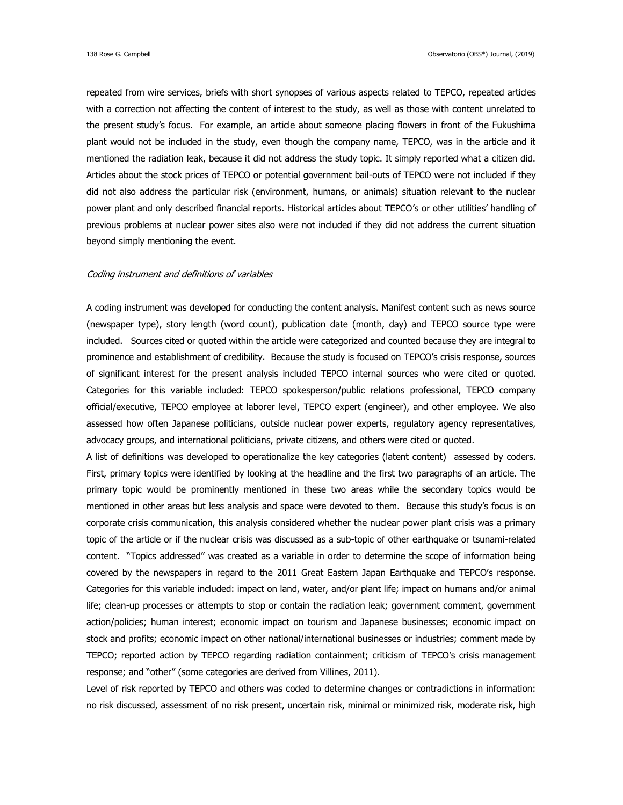repeated from wire services, briefs with short synopses of various aspects related to TEPCO, repeated articles with a correction not affecting the content of interest to the study, as well as those with content unrelated to the present study's focus. For example, an article about someone placing flowers in front of the Fukushima plant would not be included in the study, even though the company name, TEPCO, was in the article and it mentioned the radiation leak, because it did not address the study topic. It simply reported what a citizen did. Articles about the stock prices of TEPCO or potential government bail-outs of TEPCO were not included if they did not also address the particular risk (environment, humans, or animals) situation relevant to the nuclear power plant and only described financial reports. Historical articles about TEPCO's or other utilities' handling of previous problems at nuclear power sites also were not included if they did not address the current situation beyond simply mentioning the event.

### Coding instrument and definitions of variables

A coding instrument was developed for conducting the content analysis. Manifest content such as news source (newspaper type), story length (word count), publication date (month, day) and TEPCO source type were included. Sources cited or quoted within the article were categorized and counted because they are integral to prominence and establishment of credibility. Because the study is focused on TEPCO's crisis response, sources of significant interest for the present analysis included TEPCO internal sources who were cited or quoted. Categories for this variable included: TEPCO spokesperson/public relations professional, TEPCO company official/executive, TEPCO employee at laborer level, TEPCO expert (engineer), and other employee. We also assessed how often Japanese politicians, outside nuclear power experts, regulatory agency representatives, advocacy groups, and international politicians, private citizens, and others were cited or quoted.

A list of definitions was developed to operationalize the key categories (latent content) assessed by coders. First, primary topics were identified by looking at the headline and the first two paragraphs of an article. The primary topic would be prominently mentioned in these two areas while the secondary topics would be mentioned in other areas but less analysis and space were devoted to them. Because this study's focus is on corporate crisis communication, this analysis considered whether the nuclear power plant crisis was a primary topic of the article or if the nuclear crisis was discussed as a sub-topic of other earthquake or tsunami-related content. "Topics addressed" was created as a variable in order to determine the scope of information being covered by the newspapers in regard to the 2011 Great Eastern Japan Earthquake and TEPCO's response. Categories for this variable included: impact on land, water, and/or plant life; impact on humans and/or animal life; clean-up processes or attempts to stop or contain the radiation leak; government comment, government action/policies; human interest; economic impact on tourism and Japanese businesses; economic impact on stock and profits; economic impact on other national/international businesses or industries; comment made by TEPCO; reported action by TEPCO regarding radiation containment; criticism of TEPCO's crisis management response; and "other" (some categories are derived from Villines, 2011).

Level of risk reported by TEPCO and others was coded to determine changes or contradictions in information: no risk discussed, assessment of no risk present, uncertain risk, minimal or minimized risk, moderate risk, high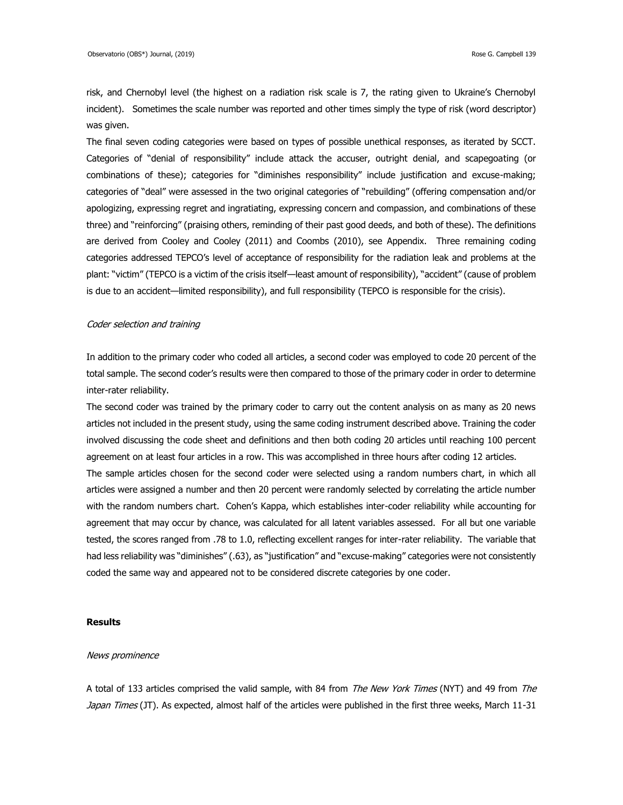risk, and Chernobyl level (the highest on a radiation risk scale is 7, the rating given to Ukraine's Chernobyl incident). Sometimes the scale number was reported and other times simply the type of risk (word descriptor) was given.

The final seven coding categories were based on types of possible unethical responses, as iterated by SCCT. Categories of "denial of responsibility" include attack the accuser, outright denial, and scapegoating (or combinations of these); categories for "diminishes responsibility" include justification and excuse-making; categories of "deal" were assessed in the two original categories of "rebuilding" (offering compensation and/or apologizing, expressing regret and ingratiating, expressing concern and compassion, and combinations of these three) and "reinforcing" (praising others, reminding of their past good deeds, and both of these). The definitions are derived from Cooley and Cooley (2011) and Coombs (2010), see Appendix. Three remaining coding categories addressed TEPCO's level of acceptance of responsibility for the radiation leak and problems at the plant: "victim" (TEPCO is a victim of the crisis itself—least amount of responsibility), "accident" (cause of problem is due to an accident—limited responsibility), and full responsibility (TEPCO is responsible for the crisis).

## Coder selection and training

In addition to the primary coder who coded all articles, a second coder was employed to code 20 percent of the total sample. The second coder's results were then compared to those of the primary coder in order to determine inter-rater reliability.

The second coder was trained by the primary coder to carry out the content analysis on as many as 20 news articles not included in the present study, using the same coding instrument described above. Training the coder involved discussing the code sheet and definitions and then both coding 20 articles until reaching 100 percent agreement on at least four articles in a row. This was accomplished in three hours after coding 12 articles. The sample articles chosen for the second coder were selected using a random numbers chart, in which all articles were assigned a number and then 20 percent were randomly selected by correlating the article number with the random numbers chart. Cohen's Kappa, which establishes inter-coder reliability while accounting for agreement that may occur by chance, was calculated for all latent variables assessed. For all but one variable tested, the scores ranged from .78 to 1.0, reflecting excellent ranges for inter-rater reliability. The variable that had less reliability was "diminishes" (.63), as "justification" and "excuse-making" categories were not consistently coded the same way and appeared not to be considered discrete categories by one coder.

## **Results**

## News prominence

A total of 133 articles comprised the valid sample, with 84 from *The New York Times* (NYT) and 49 from *The* Japan Times (JT). As expected, almost half of the articles were published in the first three weeks, March 11-31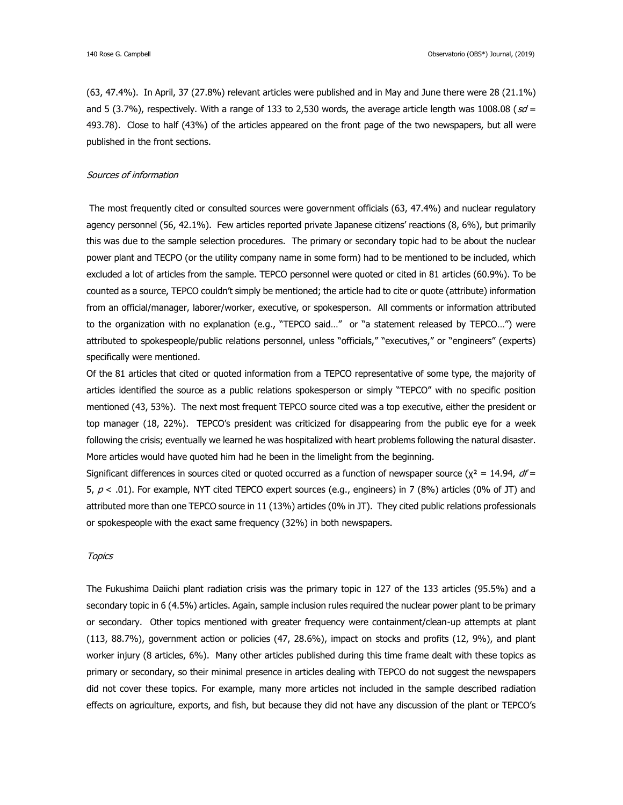(63, 47.4%). In April, 37 (27.8%) relevant articles were published and in May and June there were 28 (21.1%) and 5 (3.7%), respectively. With a range of 133 to 2,530 words, the average article length was 1008.08 ( $sd =$ 493.78). Close to half (43%) of the articles appeared on the front page of the two newspapers, but all were published in the front sections.

## Sources of information

The most frequently cited or consulted sources were government officials (63, 47.4%) and nuclear regulatory agency personnel (56, 42.1%). Few articles reported private Japanese citizens' reactions (8, 6%), but primarily this was due to the sample selection procedures. The primary or secondary topic had to be about the nuclear power plant and TECPO (or the utility company name in some form) had to be mentioned to be included, which excluded a lot of articles from the sample. TEPCO personnel were quoted or cited in 81 articles (60.9%). To be counted as a source, TEPCO couldn't simply be mentioned; the article had to cite or quote (attribute) information from an official/manager, laborer/worker, executive, or spokesperson. All comments or information attributed to the organization with no explanation (e.g., "TEPCO said…" or "a statement released by TEPCO…") were attributed to spokespeople/public relations personnel, unless "officials," "executives," or "engineers" (experts) specifically were mentioned.

Of the 81 articles that cited or quoted information from a TEPCO representative of some type, the majority of articles identified the source as a public relations spokesperson or simply "TEPCO" with no specific position mentioned (43, 53%). The next most frequent TEPCO source cited was a top executive, either the president or top manager (18, 22%). TEPCO's president was criticized for disappearing from the public eye for a week following the crisis; eventually we learned he was hospitalized with heart problems following the natural disaster. More articles would have quoted him had he been in the limelight from the beginning.

Significant differences in sources cited or quoted occurred as a function of newspaper source ( $\chi^2 = 14.94$ ,  $df =$ 5,  $p < .01$ ). For example, NYT cited TEPCO expert sources (e.g., engineers) in 7 (8%) articles (0% of JT) and attributed more than one TEPCO source in 11 (13%) articles (0% in JT). They cited public relations professionals or spokespeople with the exact same frequency (32%) in both newspapers.

## **Topics**

The Fukushima Daiichi plant radiation crisis was the primary topic in 127 of the 133 articles (95.5%) and a secondary topic in 6 (4.5%) articles. Again, sample inclusion rules required the nuclear power plant to be primary or secondary. Other topics mentioned with greater frequency were containment/clean-up attempts at plant (113, 88.7%), government action or policies (47, 28.6%), impact on stocks and profits (12, 9%), and plant worker injury (8 articles, 6%). Many other articles published during this time frame dealt with these topics as primary or secondary, so their minimal presence in articles dealing with TEPCO do not suggest the newspapers did not cover these topics. For example, many more articles not included in the sample described radiation effects on agriculture, exports, and fish, but because they did not have any discussion of the plant or TEPCO's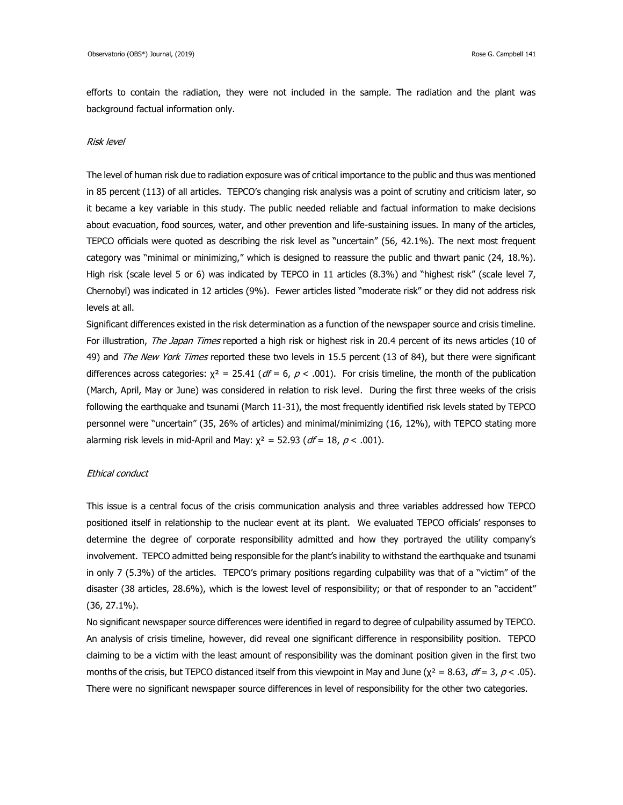efforts to contain the radiation, they were not included in the sample. The radiation and the plant was background factual information only.

#### Risk level

The level of human risk due to radiation exposure was of critical importance to the public and thus was mentioned in 85 percent (113) of all articles. TEPCO's changing risk analysis was a point of scrutiny and criticism later, so it became a key variable in this study. The public needed reliable and factual information to make decisions about evacuation, food sources, water, and other prevention and life-sustaining issues. In many of the articles, TEPCO officials were quoted as describing the risk level as "uncertain" (56, 42.1%). The next most frequent category was "minimal or minimizing," which is designed to reassure the public and thwart panic (24, 18.%). High risk (scale level 5 or 6) was indicated by TEPCO in 11 articles (8.3%) and "highest risk" (scale level 7, Chernobyl) was indicated in 12 articles (9%). Fewer articles listed "moderate risk" or they did not address risk levels at all.

Significant differences existed in the risk determination as a function of the newspaper source and crisis timeline. For illustration, The Japan Times reported a high risk or highest risk in 20.4 percent of its news articles (10 of 49) and The New York Times reported these two levels in 15.5 percent (13 of 84), but there were significant differences across categories:  $\chi^2 = 25.41$  ( $dF = 6$ ,  $p < .001$ ). For crisis timeline, the month of the publication (March, April, May or June) was considered in relation to risk level. During the first three weeks of the crisis following the earthquake and tsunami (March 11-31), the most frequently identified risk levels stated by TEPCO personnel were "uncertain" (35, 26% of articles) and minimal/minimizing (16, 12%), with TEPCO stating more alarming risk levels in mid-April and May:  $\chi^2 = 52.93$  (df = 18, p < .001).

## Ethical conduct

This issue is a central focus of the crisis communication analysis and three variables addressed how TEPCO positioned itself in relationship to the nuclear event at its plant. We evaluated TEPCO officials' responses to determine the degree of corporate responsibility admitted and how they portrayed the utility company's involvement. TEPCO admitted being responsible for the plant's inability to withstand the earthquake and tsunami in only 7 (5.3%) of the articles. TEPCO's primary positions regarding culpability was that of a "victim" of the disaster (38 articles, 28.6%), which is the lowest level of responsibility; or that of responder to an "accident" (36, 27.1%).

No significant newspaper source differences were identified in regard to degree of culpability assumed by TEPCO. An analysis of crisis timeline, however, did reveal one significant difference in responsibility position. TEPCO claiming to be a victim with the least amount of responsibility was the dominant position given in the first two months of the crisis, but TEPCO distanced itself from this viewpoint in May and June ( $\chi^2 = 8.63$ ,  $df = 3$ ,  $p < .05$ ). There were no significant newspaper source differences in level of responsibility for the other two categories.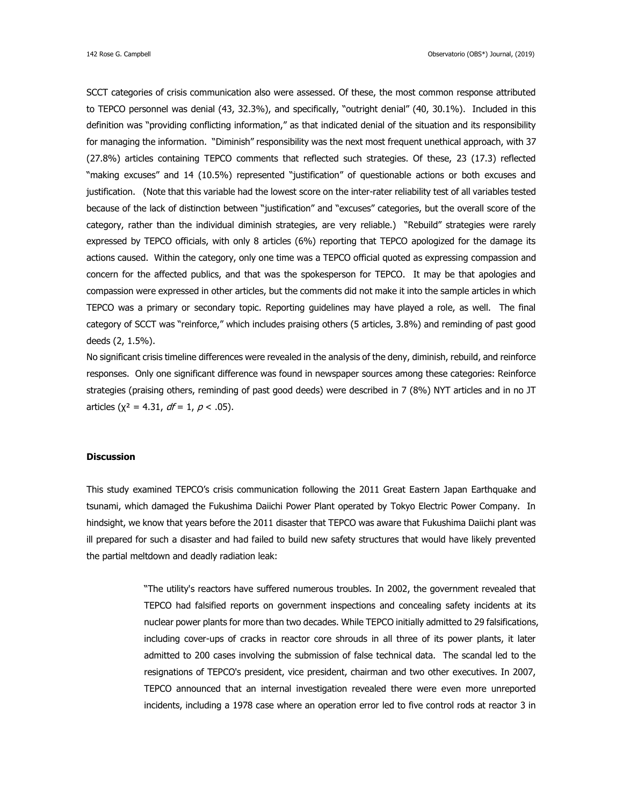SCCT categories of crisis communication also were assessed. Of these, the most common response attributed to TEPCO personnel was denial (43, 32.3%), and specifically, "outright denial" (40, 30.1%). Included in this definition was "providing conflicting information," as that indicated denial of the situation and its responsibility for managing the information. "Diminish" responsibility was the next most frequent unethical approach, with 37 (27.8%) articles containing TEPCO comments that reflected such strategies. Of these, 23 (17.3) reflected "making excuses" and 14 (10.5%) represented "justification" of questionable actions or both excuses and justification. (Note that this variable had the lowest score on the inter-rater reliability test of all variables tested because of the lack of distinction between "justification" and "excuses" categories, but the overall score of the category, rather than the individual diminish strategies, are very reliable.) "Rebuild" strategies were rarely expressed by TEPCO officials, with only 8 articles (6%) reporting that TEPCO apologized for the damage its actions caused. Within the category, only one time was a TEPCO official quoted as expressing compassion and concern for the affected publics, and that was the spokesperson for TEPCO. It may be that apologies and compassion were expressed in other articles, but the comments did not make it into the sample articles in which TEPCO was a primary or secondary topic. Reporting guidelines may have played a role, as well. The final category of SCCT was "reinforce," which includes praising others (5 articles, 3.8%) and reminding of past good deeds (2, 1.5%).

No significant crisis timeline differences were revealed in the analysis of the deny, diminish, rebuild, and reinforce responses. Only one significant difference was found in newspaper sources among these categories: Reinforce strategies (praising others, reminding of past good deeds) were described in 7 (8%) NYT articles and in no JT articles ( $\chi^2 = 4.31$ ,  $df = 1$ ,  $p < .05$ ).

## **Discussion**

This study examined TEPCO's crisis communication following the 2011 Great Eastern Japan Earthquake and tsunami, which damaged the Fukushima Daiichi Power Plant operated by Tokyo Electric Power Company. In hindsight, we know that years before the 2011 disaster that TEPCO was aware that Fukushima Daiichi plant was ill prepared for such a disaster and had failed to build new safety structures that would have likely prevented the partial meltdown and deadly radiation leak:

> "The utility's reactors have suffered numerous troubles. In 2002, the government revealed that TEPCO had falsified reports on government inspections and concealing safety incidents at its nuclear power plants for more than two decades. While TEPCO initially admitted to 29 falsifications, including cover-ups of cracks in reactor core shrouds in all three of its power plants, it later admitted to 200 cases involving the submission of false technical data. The scandal led to the resignations of TEPCO's president, vice president, chairman and two other executives. In 2007, TEPCO announced that an internal investigation revealed there were even more unreported incidents, including a 1978 case where an operation error led to five control rods at reactor 3 in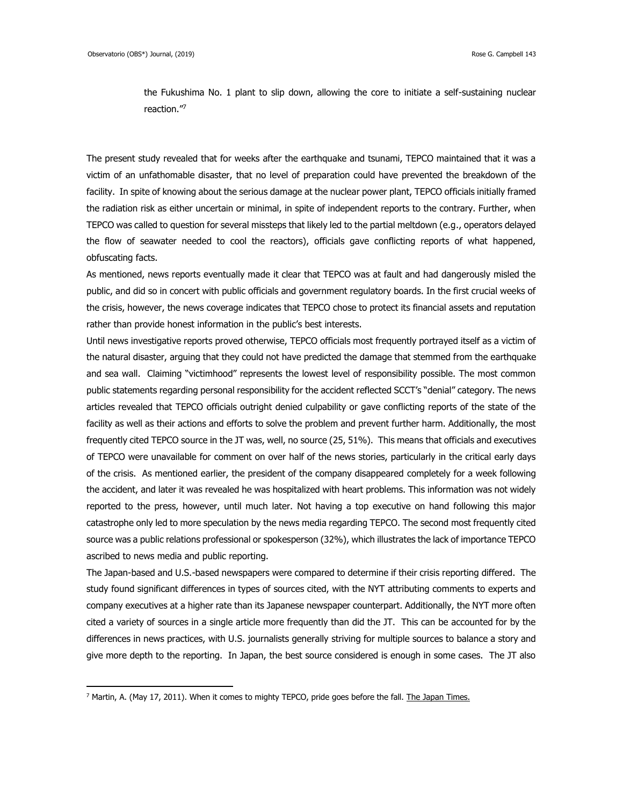$\overline{a}$ 

the Fukushima No. 1 plant to slip down, allowing the core to initiate a self-sustaining nuclear reaction." 7

The present study revealed that for weeks after the earthquake and tsunami, TEPCO maintained that it was a victim of an unfathomable disaster, that no level of preparation could have prevented the breakdown of the facility. In spite of knowing about the serious damage at the nuclear power plant, TEPCO officials initially framed the radiation risk as either uncertain or minimal, in spite of independent reports to the contrary. Further, when TEPCO was called to question for several missteps that likely led to the partial meltdown (e.g., operators delayed the flow of seawater needed to cool the reactors), officials gave conflicting reports of what happened, obfuscating facts.

As mentioned, news reports eventually made it clear that TEPCO was at fault and had dangerously misled the public, and did so in concert with public officials and government regulatory boards. In the first crucial weeks of the crisis, however, the news coverage indicates that TEPCO chose to protect its financial assets and reputation rather than provide honest information in the public's best interests.

Until news investigative reports proved otherwise, TEPCO officials most frequently portrayed itself as a victim of the natural disaster, arguing that they could not have predicted the damage that stemmed from the earthquake and sea wall. Claiming "victimhood" represents the lowest level of responsibility possible. The most common public statements regarding personal responsibility for the accident reflected SCCT's "denial" category. The news articles revealed that TEPCO officials outright denied culpability or gave conflicting reports of the state of the facility as well as their actions and efforts to solve the problem and prevent further harm. Additionally, the most frequently cited TEPCO source in the JT was, well, no source (25, 51%). This means that officials and executives of TEPCO were unavailable for comment on over half of the news stories, particularly in the critical early days of the crisis. As mentioned earlier, the president of the company disappeared completely for a week following the accident, and later it was revealed he was hospitalized with heart problems. This information was not widely reported to the press, however, until much later. Not having a top executive on hand following this major catastrophe only led to more speculation by the news media regarding TEPCO. The second most frequently cited source was a public relations professional or spokesperson (32%), which illustrates the lack of importance TEPCO ascribed to news media and public reporting.

The Japan-based and U.S.-based newspapers were compared to determine if their crisis reporting differed. The study found significant differences in types of sources cited, with the NYT attributing comments to experts and company executives at a higher rate than its Japanese newspaper counterpart. Additionally, the NYT more often cited a variety of sources in a single article more frequently than did the JT. This can be accounted for by the differences in news practices, with U.S. journalists generally striving for multiple sources to balance a story and give more depth to the reporting. In Japan, the best source considered is enough in some cases. The JT also

<sup>&</sup>lt;sup>7</sup> Martin, A. (May 17, 2011). When it comes to mighty TEPCO, pride goes before the fall[. The Japan Times.](https://www.japantimes.co.jp/news/2011/05/17/reference/when-it-comes-to-mighty-tepco-pride-goes-before-the-fall/#.XIHj-dFS_sE)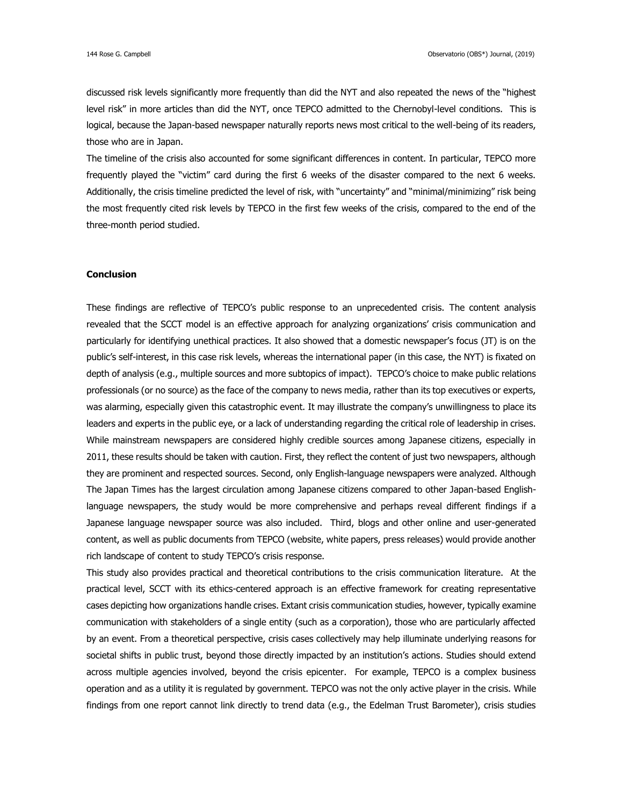discussed risk levels significantly more frequently than did the NYT and also repeated the news of the "highest level risk" in more articles than did the NYT, once TEPCO admitted to the Chernobyl-level conditions. This is logical, because the Japan-based newspaper naturally reports news most critical to the well-being of its readers, those who are in Japan.

The timeline of the crisis also accounted for some significant differences in content. In particular, TEPCO more frequently played the "victim" card during the first 6 weeks of the disaster compared to the next 6 weeks. Additionally, the crisis timeline predicted the level of risk, with "uncertainty" and "minimal/minimizing" risk being the most frequently cited risk levels by TEPCO in the first few weeks of the crisis, compared to the end of the three-month period studied.

## **Conclusion**

These findings are reflective of TEPCO's public response to an unprecedented crisis. The content analysis revealed that the SCCT model is an effective approach for analyzing organizations' crisis communication and particularly for identifying unethical practices. It also showed that a domestic newspaper's focus (JT) is on the public's self-interest, in this case risk levels, whereas the international paper (in this case, the NYT) is fixated on depth of analysis (e.g., multiple sources and more subtopics of impact). TEPCO's choice to make public relations professionals (or no source) as the face of the company to news media, rather than its top executives or experts, was alarming, especially given this catastrophic event. It may illustrate the company's unwillingness to place its leaders and experts in the public eye, or a lack of understanding regarding the critical role of leadership in crises. While mainstream newspapers are considered highly credible sources among Japanese citizens, especially in 2011, these results should be taken with caution. First, they reflect the content of just two newspapers, although they are prominent and respected sources. Second, only English-language newspapers were analyzed. Although The Japan Times has the largest circulation among Japanese citizens compared to other Japan-based Englishlanguage newspapers, the study would be more comprehensive and perhaps reveal different findings if a Japanese language newspaper source was also included. Third, blogs and other online and user-generated content, as well as public documents from TEPCO (website, white papers, press releases) would provide another rich landscape of content to study TEPCO's crisis response.

This study also provides practical and theoretical contributions to the crisis communication literature. At the practical level, SCCT with its ethics-centered approach is an effective framework for creating representative cases depicting how organizations handle crises. Extant crisis communication studies, however, typically examine communication with stakeholders of a single entity (such as a corporation), those who are particularly affected by an event. From a theoretical perspective, crisis cases collectively may help illuminate underlying reasons for societal shifts in public trust, beyond those directly impacted by an institution's actions. Studies should extend across multiple agencies involved, beyond the crisis epicenter. For example, TEPCO is a complex business operation and as a utility it is regulated by government. TEPCO was not the only active player in the crisis. While findings from one report cannot link directly to trend data (e.g., the Edelman Trust Barometer), crisis studies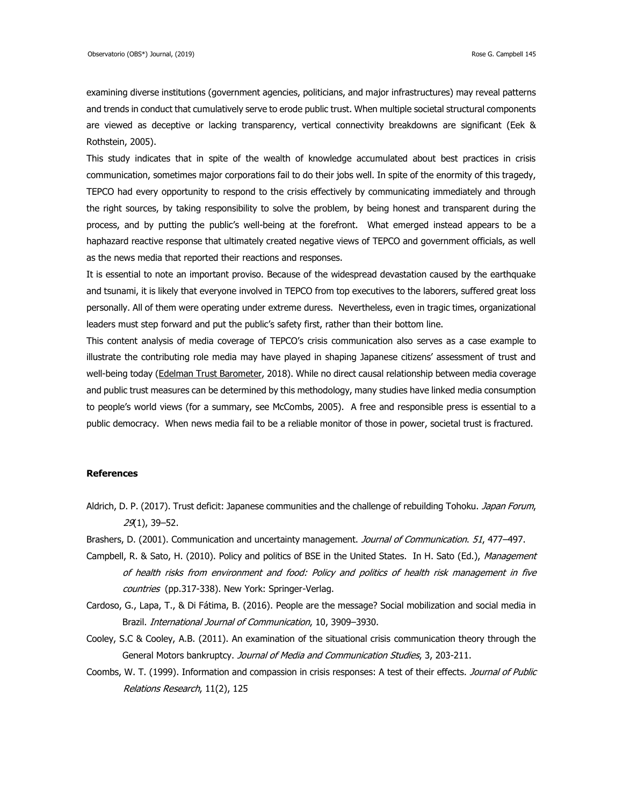examining diverse institutions (government agencies, politicians, and major infrastructures) may reveal patterns and trends in conduct that cumulatively serve to erode public trust. When multiple societal structural components are viewed as deceptive or lacking transparency, vertical connectivity breakdowns are significant (Eek & Rothstein, 2005).

This study indicates that in spite of the wealth of knowledge accumulated about best practices in crisis communication, sometimes major corporations fail to do their jobs well. In spite of the enormity of this tragedy, TEPCO had every opportunity to respond to the crisis effectively by communicating immediately and through the right sources, by taking responsibility to solve the problem, by being honest and transparent during the process, and by putting the public's well-being at the forefront. What emerged instead appears to be a haphazard reactive response that ultimately created negative views of TEPCO and government officials, as well as the news media that reported their reactions and responses.

It is essential to note an important proviso. Because of the widespread devastation caused by the earthquake and tsunami, it is likely that everyone involved in TEPCO from top executives to the laborers, suffered great loss personally. All of them were operating under extreme duress. Nevertheless, even in tragic times, organizational leaders must step forward and put the public's safety first, rather than their bottom line.

This content analysis of media coverage of TEPCO's crisis communication also serves as a case example to illustrate the contributing role media may have played in shaping Japanese citizens' assessment of trust and well-being today (Edelman [Trust Barometer,](https://www.edelman.com/sites/g/files/aatuss191/files/2018-10/2018_Edelman_Trust_Barometer_Global_Report_FEB.pdf) 2018). While no direct causal relationship between media coverage and public trust measures can be determined by this methodology, many studies have linked media consumption to people's world views (for a summary, see McCombs, 2005). A free and responsible press is essential to a public democracy. When news media fail to be a reliable monitor of those in power, societal trust is fractured.

## **References**

- Aldrich, D. P. (2017). Trust deficit: Japanese communities and the challenge of rebuilding Tohoku. Japan Forum, 29(1), 39–52.
- Brashers, D. (2001). Communication and uncertainty management. Journal of Communication. 51, 477-497.
- Campbell, R. & Sato, H. (2010). Policy and politics of BSE in the United States. In H. Sato (Ed.), Management of health risks from environment and food: Policy and politics of health risk management in five countries (pp.317-338). New York: Springer-Verlag.
- Cardoso, G., Lapa, T., & Di Fátima, B. (2016). People are the message? Social mobilization and social media in Brazil. International Journal of Communication, 10, 3909–3930.
- Cooley, S.C & Cooley, A.B. (2011). An examination of the situational crisis communication theory through the General Motors bankruptcy. Journal of Media and Communication Studies, 3, 203-211.
- Coombs, W. T. (1999). Information and compassion in crisis responses: A test of their effects. Journal of Public Relations Research, 11(2), 125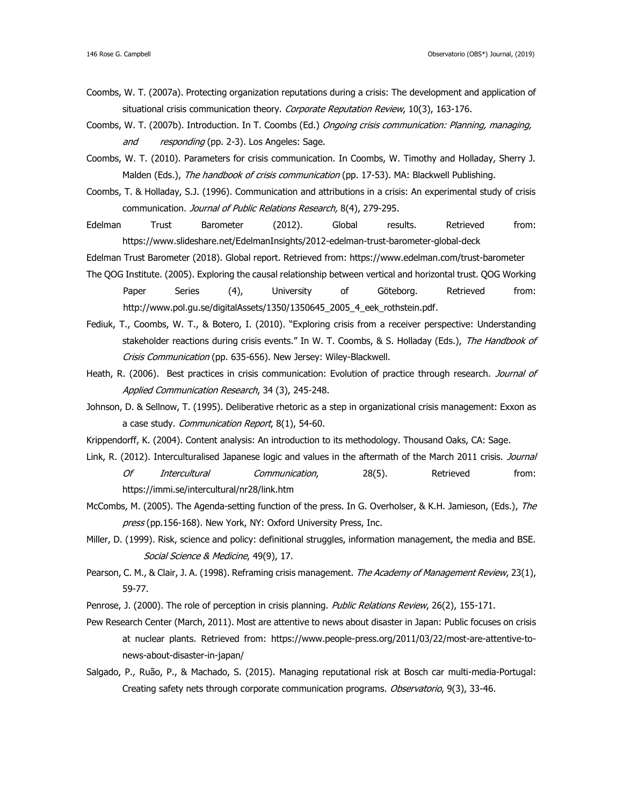- Coombs, W. T. (2007a). Protecting organization reputations during a crisis: The development and application of situational crisis communication theory. Corporate Reputation Review, 10(3), 163-176.
- Coombs, W. T. (2007b). Introduction. In T. Coombs (Ed.) Ongoing crisis communication: Planning, managing, and responding (pp. 2-3). Los Angeles: Sage.
- Coombs, W. T. (2010). Parameters for crisis communication. In Coombs, W. Timothy and Holladay, Sherry J. Malden (Eds.), The handbook of crisis communication (pp. 17-53). MA: Blackwell Publishing.
- Coombs, T. & Holladay, S.J. (1996). Communication and attributions in a crisis: An experimental study of crisis communication. Journal of Public Relations Research, 8(4), 279-295.
- Edelman Trust Barometer (2012). [Global results.](https://www.slideshare.net/EdelmanInsights/2012-edelman-trust-barometer-global-deck) Retrieved from: https://www.slideshare.net/EdelmanInsights/2012-edelman-trust-barometer-global-deck
- Edelman Trust Barometer (2018). [Global report.](file:///C:/Users/m8225/AppData/Local/Temp/Global%20report) Retrieved from: https://www.edelman.com/trust-barometer
- The QOG Institute. (2005). Exploring the causal relationship between vertical and horizontal trust. QOG Working Paper Series (4), University of Göteborg. Retrieved from: [http://www.pol.gu.se/digitalAssets/1350/1350645\\_2005\\_4\\_eek\\_rothstein.pdf.](http://www.pol.gu.se/digitalAssets/1350/1350645_2005_4_eek_rothstein.pdf)
- Fediuk, T., Coombs, W. T., & Botero, I. (2010). "Exploring crisis from a receiver perspective: Understanding stakeholder reactions during crisis events." In W. T. Coombs, & S. Holladay (Eds.), The Handbook of Crisis Communication (pp. 635-656). New Jersey: Wiley-Blackwell.
- Heath, R. (2006). Best practices in crisis communication: Evolution of practice through research. Journal of Applied Communication Research, 34 (3), 245-248.
- Johnson, D. & Sellnow, T. (1995). Deliberative rhetoric as a step in organizational crisis management: Exxon as a case study. Communication Report, 8(1), 54-60.
- Krippendorff, K. (2004). Content analysis: An introduction to its methodology. Thousand Oaks, CA: Sage.
- Link, R. (2012). Interculturalised Japanese logic and values in the aftermath of the March 2011 crisis. Journal Of Intercultural Communication, 28(5). Retrieved from: https://immi.se/intercultural/nr28/link.htm
- McCombs, M. (2005). The Agenda-setting function of the press. In G. Overholser, & K.H. Jamieson, (Eds.), The press (pp.156-168). New York, NY: Oxford University Press, Inc.
- Miller, D. (1999). Risk, science and policy: definitional struggles, information management, the media and BSE. Social Science & Medicine, 49(9), 17.
- Pearson, C. M., & Clair, J. A. (1998). Reframing crisis management. The Academy of Management Review, 23(1), 59-77.
- Penrose, J. (2000). The role of perception in crisis planning. Public Relations Review, 26(2), 155-171.
- Pew Research Center (March, 2011). Most are attentive to news about disaster in Japan: Public focuses on crisis at nuclear plants. Retrieved from: [https://www.people-press.org/2011/03/22/most-are-attentive-to](https://www.people-press.org/2011/03/22/most-are-attentive-to-news-about-disaster-in-japan/)[news-about-disaster-in-japan/](https://www.people-press.org/2011/03/22/most-are-attentive-to-news-about-disaster-in-japan/)
- Salgado, P., Ruão, P., & Machado, S. (2015). Managing reputational risk at Bosch car multi-media-Portugal: Creating safety nets through corporate communication programs. Observatorio, 9(3), 33-46.